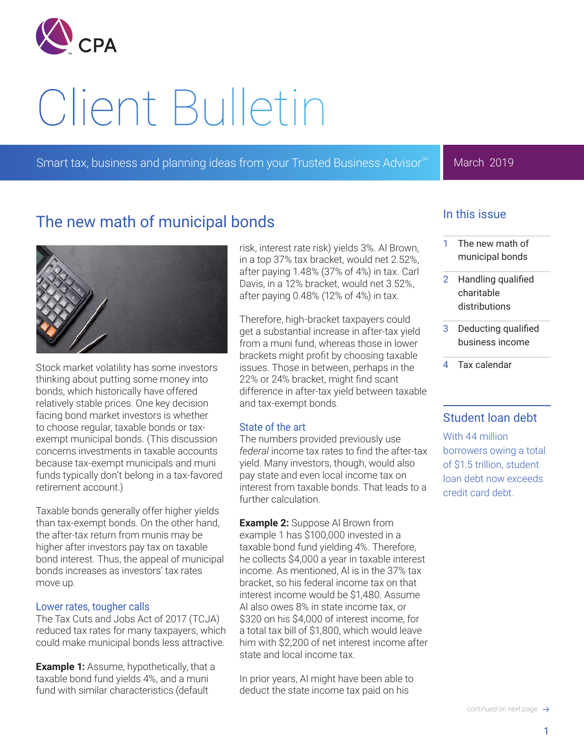

# Client Bulletin

Smart tax, business and planning ideas from your Trusted Business Advisor<sup>®</sup>

## March 2019

# The new math of municipal bonds



Stock market volatility has some investors thinking about putting some money into bonds, which historically have offered relatively stable prices. One key decision facing bond market investors is whether to choose regular, taxable bonds or taxexempt municipal bonds. (This discussion concerns investments in taxable accounts because tax-exempt municipals and muni funds typically don't belong in a tax-favored retirement account.)

Taxable bonds generally offer higher yields than tax-exempt bonds. On the other hand, the after-tax return from munis may be higher after investors pay tax on taxable bond interest. Thus, the appeal of municipal bonds increases as investors' tax rates move up.

#### Lower rates, tougher calls

The Tax Cuts and Jobs Act of 2017 (TCJA) reduced tax rates for many taxpayers, which could make municipal bonds less attractive.

**Example 1:** Assume, hypothetically, that a taxable bond fund yields 4%, and a muni fund with similar characteristics (default

risk, interest rate risk) yields 3%. Al Brown, in a top 37% tax bracket, would net 2.52%, after paying 1.48% (37% of 4%) in tax. Carl Davis, in a 12% bracket, would net 3.52%, after paying 0.48% (12% of 4%) in tax.

Therefore, high-bracket taxpayers could get a substantial increase in after-tax yield from a muni fund, whereas those in lower brackets might profit by choosing taxable issues. Those in between, perhaps in the 22% or 24% bracket, might find scant difference in after-tax yield between taxable and tax-exempt bonds.

#### State of the art

The numbers provided previously use *federal* income tax rates to find the after-tax yield. Many investors, though, would also pay state and even local income tax on interest from taxable bonds. That leads to a further calculation.

**Example 2:** Suppose Al Brown from example 1 has \$100,000 invested in a taxable bond fund yielding 4%. Therefore, he collects \$4,000 a year in taxable interest income. As mentioned, Al is in the 37% tax bracket, so his federal income tax on that interest income would be \$1,480. Assume Al also owes 8% in state income tax, or \$320 on his \$4,000 of interest income, for a total tax bill of \$1,800, which would leave him with \$2,200 of net interest income after state and local income tax.

In prior years, Al might have been able to deduct the state income tax paid on his

## In this issue

- 1 The new math of municipal bonds
- 2 Handling qualified charitable distributions
- 3 Deducting qualified business income
- 4 Tax calendar

## Student loan debt

With 44 million borrowers owing a total of \$1.5 trillion, student loan debt now exceeds credit card debt.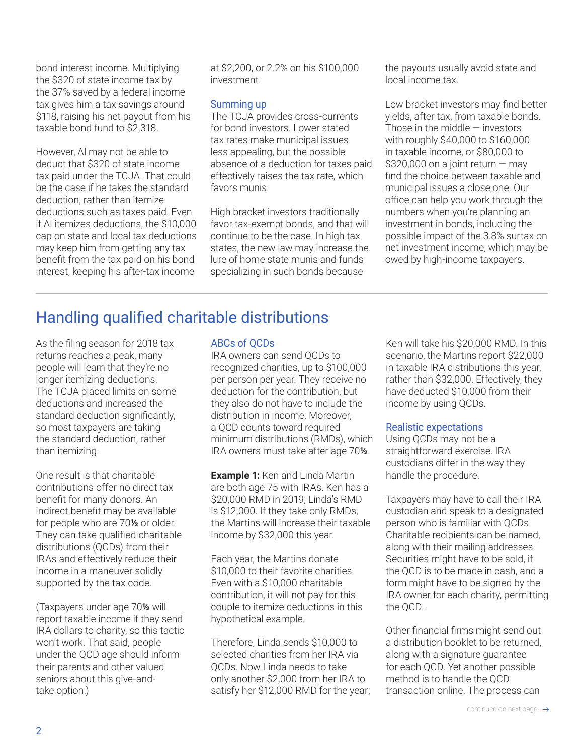bond interest income. Multiplying the \$320 of state income tax by the 37% saved by a federal income tax gives him a tax savings around \$118, raising his net payout from his taxable bond fund to \$2,318.

However, Al may not be able to deduct that \$320 of state income tax paid under the TCJA. That could be the case if he takes the standard deduction, rather than itemize deductions such as taxes paid. Even if Al itemizes deductions, the \$10,000 cap on state and local tax deductions may keep him from getting any tax benefit from the tax paid on his bond interest, keeping his after-tax income

at \$2,200, or 2.2% on his \$100,000 investment.

#### Summing up

The TCJA provides cross-currents for bond investors. Lower stated tax rates make municipal issues less appealing, but the possible absence of a deduction for taxes paid effectively raises the tax rate, which favors munis.

High bracket investors traditionally favor tax-exempt bonds, and that will continue to be the case. In high tax states, the new law may increase the lure of home state munis and funds specializing in such bonds because

the payouts usually avoid state and local income tax.

Low bracket investors may find better yields, after tax, from taxable bonds. Those in the middle  $-$  investors with roughly \$40,000 to \$160,000 in taxable income, or \$80,000 to  $$320,000$  on a joint return  $-$  may find the choice between taxable and municipal issues a close one. Our office can help you work through the numbers when you're planning an investment in bonds, including the possible impact of the 3.8% surtax on net investment income, which may be owed by high-income taxpayers.

# Handling qualified charitable distributions

As the filing season for 2018 tax returns reaches a peak, many people will learn that they're no longer itemizing deductions. The TCJA placed limits on some deductions and increased the standard deduction significantly, so most taxpayers are taking the standard deduction, rather than itemizing.

One result is that charitable contributions offer no direct tax benefit for many donors. An indirect benefit may be available for people who are 70**½** or older. They can take qualified charitable distributions (QCDs) from their IRAs and effectively reduce their income in a maneuver solidly supported by the tax code.

(Taxpayers under age 70**½** will report taxable income if they send IRA dollars to charity, so this tactic won't work. That said, people under the QCD age should inform their parents and other valued seniors about this give-andtake option.)

#### ABCs of QCDs

IRA owners can send QCDs to recognized charities, up to \$100,000 per person per year. They receive no deduction for the contribution, but they also do not have to include the distribution in income. Moreover, a QCD counts toward required minimum distributions (RMDs), which IRA owners must take after age 70**½**.

**Example 1:** Ken and Linda Martin are both age 75 with IRAs. Ken has a \$20,000 RMD in 2019; Linda's RMD is \$12,000. If they take only RMDs, the Martins will increase their taxable income by \$32,000 this year.

Each year, the Martins donate \$10,000 to their favorite charities. Even with a \$10,000 charitable contribution, it will not pay for this couple to itemize deductions in this hypothetical example.

Therefore, Linda sends \$10,000 to selected charities from her IRA via QCDs. Now Linda needs to take only another \$2,000 from her IRA to satisfy her \$12,000 RMD for the year; Ken will take his \$20,000 RMD. In this scenario, the Martins report \$22,000 in taxable IRA distributions this year, rather than \$32,000. Effectively, they have deducted \$10,000 from their income by using QCDs.

#### Realistic expectations

Using QCDs may not be a straightforward exercise. IRA custodians differ in the way they handle the procedure.

Taxpayers may have to call their IRA custodian and speak to a designated person who is familiar with QCDs. Charitable recipients can be named, along with their mailing addresses. Securities might have to be sold, if the QCD is to be made in cash, and a form might have to be signed by the IRA owner for each charity, permitting the QCD.

Other financial firms might send out a distribution booklet to be returned, along with a signature guarantee for each QCD. Yet another possible method is to handle the QCD transaction online. The process can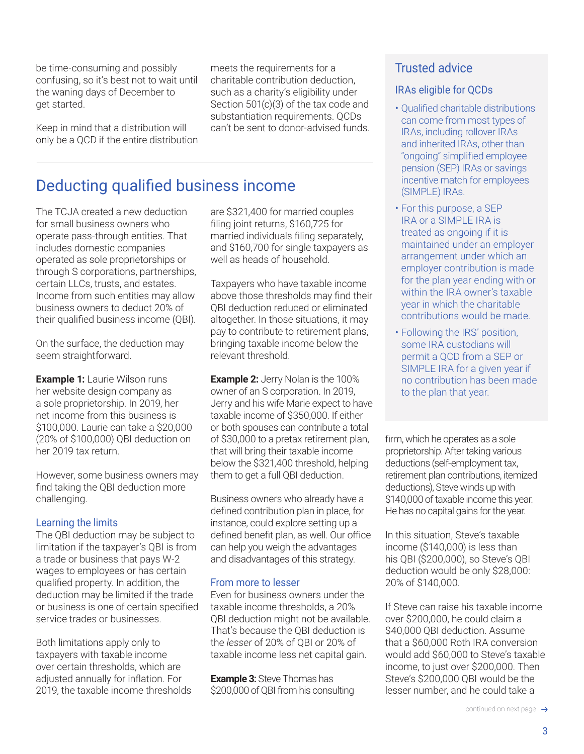be time-consuming and possibly confusing, so it's best not to wait until the waning days of December to get started.

Keep in mind that a distribution will only be a QCD if the entire distribution meets the requirements for a charitable contribution deduction, such as a charity's eligibility under Section 501(c)(3) of the tax code and substantiation requirements. QCDs can't be sent to donor-advised funds.

# Deducting qualified business income

The TCJA created a new deduction for small business owners who operate pass-through entities. That includes domestic companies operated as sole proprietorships or through S corporations, partnerships, certain LLCs, trusts, and estates. Income from such entities may allow business owners to deduct 20% of their qualified business income (QBI).

On the surface, the deduction may seem straightforward.

**Example 1:** Laurie Wilson runs her website design company as a sole proprietorship. In 2019, her net income from this business is \$100,000. Laurie can take a \$20,000 (20% of \$100,000) QBI deduction on her 2019 tax return.

However, some business owners may find taking the QBI deduction more challenging.

#### Learning the limits

The QBI deduction may be subject to limitation if the taxpayer's QBI is from a trade or business that pays W-2 wages to employees or has certain qualified property. In addition, the deduction may be limited if the trade or business is one of certain specified service trades or businesses.

Both limitations apply only to taxpayers with taxable income over certain thresholds, which are adjusted annually for inflation. For 2019, the taxable income thresholds are \$321,400 for married couples filing joint returns, \$160,725 for married individuals filing separately, and \$160,700 for single taxpayers as well as heads of household.

Taxpayers who have taxable income above those thresholds may find their QBI deduction reduced or eliminated altogether. In those situations, it may pay to contribute to retirement plans, bringing taxable income below the relevant threshold.

**Example 2:** Jerry Nolan is the 100% owner of an S corporation. In 2019, Jerry and his wife Marie expect to have taxable income of \$350,000. If either or both spouses can contribute a total of \$30,000 to a pretax retirement plan, that will bring their taxable income below the \$321,400 threshold, helping them to get a full QBI deduction.

Business owners who already have a defined contribution plan in place, for instance, could explore setting up a defined benefit plan, as well. Our office can help you weigh the advantages and disadvantages of this strategy.

#### From more to lesser

Even for business owners under the taxable income thresholds, a 20% QBI deduction might not be available. That's because the QBI deduction is the *lesser* of 20% of QBI or 20% of taxable income less net capital gain.

**Example 3**: Steve Thomas has \$200,000 of QBI from his consulting

## Trusted advice

#### IRAs eligible for QCDs

- Qualified charitable distributions can come from most types of IRAs, including rollover IRAs and inherited IRAs, other than "ongoing" simplified employee pension (SEP) IRAs or savings incentive match for employees (SIMPLE) IRAs.
- For this purpose, a SEP IRA or a SIMPLE IRA is treated as ongoing if it is maintained under an employer arrangement under which an employer contribution is made for the plan year ending with or within the IRA owner's taxable year in which the charitable contributions would be made.
- Following the IRS' position, some IRA custodians will permit a QCD from a SEP or SIMPLE IRA for a given year if no contribution has been made to the plan that year.

firm, which he operates as a sole proprietorship. After taking various deductions (self-employment tax, retirement plan contributions, itemized deductions), Steve winds up with \$140,000 of taxable income this year. He has no capital gains for the year.

In this situation, Steve's taxable income (\$140,000) is less than his QBI (\$200,000), so Steve's QBI deduction would be only \$28,000: 20% of \$140,000.

If Steve can raise his taxable income over \$200,000, he could claim a \$40,000 QBI deduction. Assume that a \$60,000 Roth IRA conversion would add \$60,000 to Steve's taxable income, to just over \$200,000. Then Steve's \$200,000 QBI would be the lesser number, and he could take a